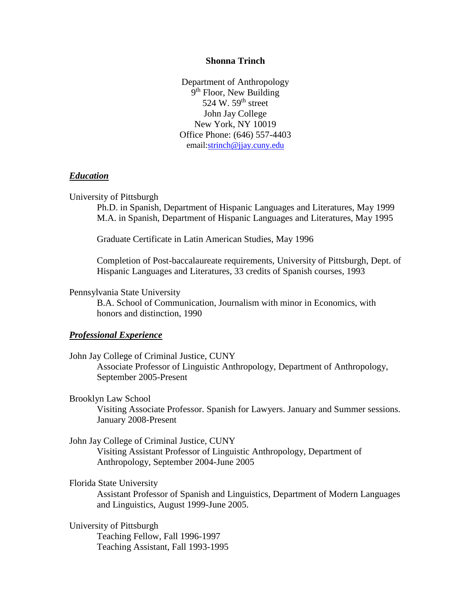#### **Shonna Trinch**

Department of Anthropology 9<sup>th</sup> Floor, New Building 524 W. 59<sup>th</sup> street John Jay College New York, NY 10019 Office Phone: (646) 557-4403 email[:strinch@jjay.cuny.edu](mailto:strinch@mailer.fsu.edu)

#### *Education*

#### University of Pittsburgh

Ph.D. in Spanish, Department of Hispanic Languages and Literatures, May 1999 M.A. in Spanish, Department of Hispanic Languages and Literatures, May 1995

Graduate Certificate in Latin American Studies, May 1996

Completion of Post-baccalaureate requirements, University of Pittsburgh, Dept. of Hispanic Languages and Literatures, 33 credits of Spanish courses, 1993

#### Pennsylvania State University

B.A. School of Communication, Journalism with minor in Economics, with honors and distinction, 1990

#### *Professional Experience*

John Jay College of Criminal Justice, CUNY Associate Professor of Linguistic Anthropology, Department of Anthropology, September 2005-Present

#### Brooklyn Law School

Visiting Associate Professor. Spanish for Lawyers. January and Summer sessions. January 2008-Present

## John Jay College of Criminal Justice, CUNY

Visiting Assistant Professor of Linguistic Anthropology, Department of Anthropology, September 2004-June 2005

#### Florida State University

Assistant Professor of Spanish and Linguistics, Department of Modern Languages and Linguistics, August 1999-June 2005.

University of Pittsburgh Teaching Fellow, Fall 1996-1997 Teaching Assistant, Fall 1993-1995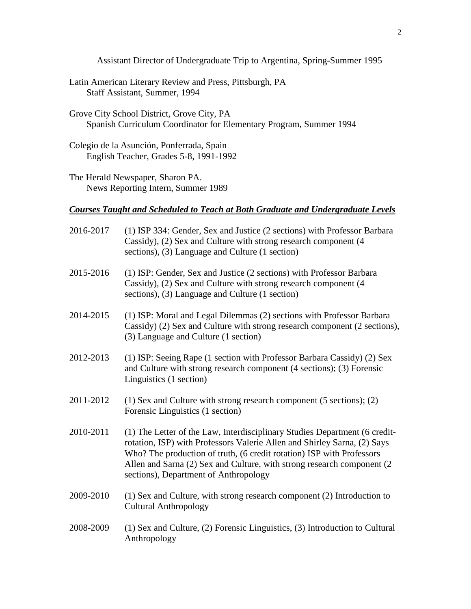Assistant Director of Undergraduate Trip to Argentina, Spring-Summer 1995

- Latin American Literary Review and Press, Pittsburgh, PA Staff Assistant, Summer, 1994
- Grove City School District, Grove City, PA Spanish Curriculum Coordinator for Elementary Program, Summer 1994
- Colegio de la Asunción, Ponferrada, Spain English Teacher, Grades 5-8, 1991-1992

The Herald Newspaper, Sharon PA. News Reporting Intern, Summer 1989

## *Courses Taught and Scheduled to Teach at Both Graduate and Undergraduate Levels*

| 2016-2017 | (1) ISP 334: Gender, Sex and Justice (2 sections) with Professor Barbara<br>Cassidy), (2) Sex and Culture with strong research component (4<br>sections), (3) Language and Culture (1 section)                                                                                                                                                      |
|-----------|-----------------------------------------------------------------------------------------------------------------------------------------------------------------------------------------------------------------------------------------------------------------------------------------------------------------------------------------------------|
| 2015-2016 | (1) ISP: Gender, Sex and Justice (2 sections) with Professor Barbara<br>Cassidy), (2) Sex and Culture with strong research component (4<br>sections), (3) Language and Culture (1 section)                                                                                                                                                          |
| 2014-2015 | (1) ISP: Moral and Legal Dilemmas (2) sections with Professor Barbara<br>Cassidy) (2) Sex and Culture with strong research component (2 sections),<br>(3) Language and Culture (1 section)                                                                                                                                                          |
| 2012-2013 | (1) ISP: Seeing Rape (1 section with Professor Barbara Cassidy) (2) Sex<br>and Culture with strong research component (4 sections); (3) Forensic<br>Linguistics (1 section)                                                                                                                                                                         |
| 2011-2012 | $(1)$ Sex and Culture with strong research component (5 sections); (2)<br>Forensic Linguistics (1 section)                                                                                                                                                                                                                                          |
| 2010-2011 | (1) The Letter of the Law, Interdisciplinary Studies Department (6 credit-<br>rotation, ISP) with Professors Valerie Allen and Shirley Sarna, (2) Says<br>Who? The production of truth, (6 credit rotation) ISP with Professors<br>Allen and Sarna (2) Sex and Culture, with strong research component (2)<br>sections), Department of Anthropology |
| 2009-2010 | (1) Sex and Culture, with strong research component (2) Introduction to<br><b>Cultural Anthropology</b>                                                                                                                                                                                                                                             |
| 2008-2009 | (1) Sex and Culture, (2) Forensic Linguistics, (3) Introduction to Cultural<br>Anthropology                                                                                                                                                                                                                                                         |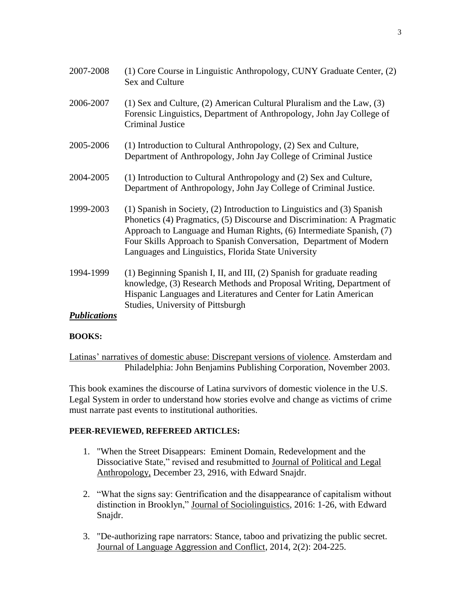| 2007-2008           | (1) Core Course in Linguistic Anthropology, CUNY Graduate Center, (2)<br>Sex and Culture                                                                                                                                                                                                                                                                |
|---------------------|---------------------------------------------------------------------------------------------------------------------------------------------------------------------------------------------------------------------------------------------------------------------------------------------------------------------------------------------------------|
| 2006-2007           | $(1)$ Sex and Culture, $(2)$ American Cultural Pluralism and the Law, $(3)$<br>Forensic Linguistics, Department of Anthropology, John Jay College of<br><b>Criminal Justice</b>                                                                                                                                                                         |
| 2005-2006           | (1) Introduction to Cultural Anthropology, (2) Sex and Culture,<br>Department of Anthropology, John Jay College of Criminal Justice                                                                                                                                                                                                                     |
| 2004-2005           | (1) Introduction to Cultural Anthropology and (2) Sex and Culture,<br>Department of Anthropology, John Jay College of Criminal Justice.                                                                                                                                                                                                                 |
| 1999-2003           | (1) Spanish in Society, (2) Introduction to Linguistics and (3) Spanish<br>Phonetics (4) Pragmatics, (5) Discourse and Discrimination: A Pragmatic<br>Approach to Language and Human Rights, (6) Intermediate Spanish, (7)<br>Four Skills Approach to Spanish Conversation, Department of Modern<br>Languages and Linguistics, Florida State University |
| 1994-1999           | (1) Beginning Spanish I, II, and III, (2) Spanish for graduate reading<br>knowledge, (3) Research Methods and Proposal Writing, Department of<br>Hispanic Languages and Literatures and Center for Latin American<br>Studies, University of Pittsburgh                                                                                                  |
| <b>Publications</b> |                                                                                                                                                                                                                                                                                                                                                         |

## **BOOKS:**

Latinas' narratives of domestic abuse: Discrepant versions of violence. Amsterdam and Philadelphia: John Benjamins Publishing Corporation, November 2003.

This book examines the discourse of Latina survivors of domestic violence in the U.S. Legal System in order to understand how stories evolve and change as victims of crime must narrate past events to institutional authorities.

## **PEER-REVIEWED, REFEREED ARTICLES:**

- 1. "When the Street Disappears: Eminent Domain, Redevelopment and the Dissociative State," revised and resubmitted to Journal of Political and Legal Anthropology, December 23, 2916, with Edward Snajdr.
- 2. "What the signs say: Gentrification and the disappearance of capitalism without distinction in Brooklyn," Journal of Sociolinguistics, 2016: 1-26, with Edward Snajdr.
- 3. "De-authorizing rape narrators: Stance, taboo and privatizing the public secret. Journal of Language Aggression and Conflict, 2014, 2(2): 204-225.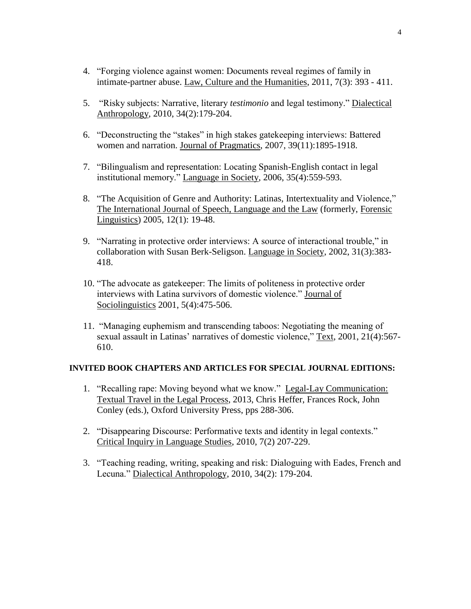- 4. "Forging violence against women: Documents reveal regimes of family in intimate-partner abuse. Law, Culture and the Humanities, 2011, 7(3): 393 - 411.
- 5. "Risky subjects: Narrative, literary *testimonio* and legal testimony." Dialectical Anthropology, 2010, 34(2):179-204.
- 6. "Deconstructing the "stakes" in high stakes gatekeeping interviews: Battered women and narration. Journal of Pragmatics, 2007, 39(11):1895-1918.
- 7. "Bilingualism and representation: Locating Spanish-English contact in legal institutional memory." Language in Society, 2006, 35(4):559-593.
- 8. "The Acquisition of Genre and Authority: Latinas, Intertextuality and Violence," The International Journal of Speech, Language and the Law (formerly, Forensic Linguistics) 2005, 12(1): 19-48.
- 9. "Narrating in protective order interviews: A source of interactional trouble," in collaboration with Susan Berk-Seligson. Language in Society, 2002, 31(3):383- 418.
- 10. "The advocate as gatekeeper: The limits of politeness in protective order interviews with Latina survivors of domestic violence." Journal of Sociolinguistics 2001, 5(4):475-506.
- 11. "Managing euphemism and transcending taboos: Negotiating the meaning of sexual assault in Latinas' narratives of domestic violence," Text, 2001, 21(4):567- 610.

## **INVITED BOOK CHAPTERS AND ARTICLES FOR SPECIAL JOURNAL EDITIONS:**

- 1. "Recalling rape: Moving beyond what we know." Legal-Lay Communication: Textual Travel in the Legal Process, 2013, Chris Heffer, Frances Rock, John Conley (eds.), Oxford University Press, pps 288-306.
- 2. "Disappearing Discourse: Performative texts and identity in legal contexts." Critical Inquiry in Language Studies, 2010, 7(2) 207-229.
- 3. "Teaching reading, writing, speaking and risk: Dialoguing with Eades, French and Lecuna." Dialectical Anthropology, 2010, 34(2): 179-204.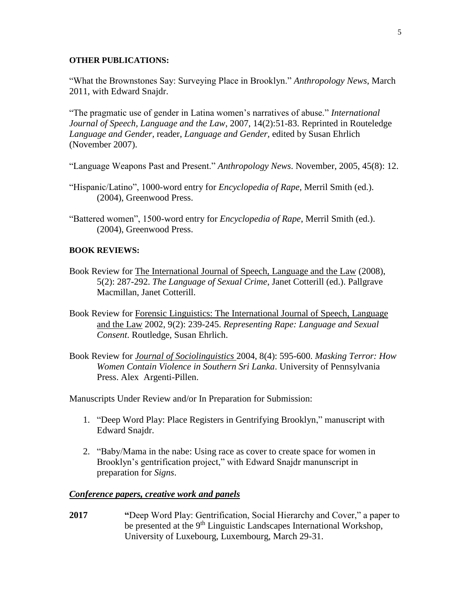#### **OTHER PUBLICATIONS:**

"What the Brownstones Say: Surveying Place in Brooklyn." *Anthropology News*, March 2011, with Edward Snajdr.

"The pragmatic use of gender in Latina women's narratives of abuse." *International Journal of Speech, Language and the Law*, 2007, 14(2):51-83. Reprinted in Routeledge *Language and Gender,* reader, *Language and Gender,* edited by Susan Ehrlich (November 2007).

"Language Weapons Past and Present." *Anthropology News*. November, 2005, 45(8): 12.

- "Hispanic/Latino", 1000-word entry for *Encyclopedia of Rape*, Merril Smith (ed.). (2004), Greenwood Press.
- "Battered women", 1500-word entry for *Encyclopedia of Rape*, Merril Smith (ed.). (2004), Greenwood Press.

#### **BOOK REVIEWS:**

- Book Review for The International Journal of Speech, Language and the Law (2008), 5(2): 287-292. *The Language of Sexual Crime*, Janet Cotterill (ed.). Pallgrave Macmillan, Janet Cotterill.
- Book Review for Forensic Linguistics: The International Journal of Speech, Language and the Law 2002, 9(2): 239-245. *Representing Rape: Language and Sexual Consent*. Routledge, Susan Ehrlich.
- Book Review for *Journal of Sociolinguistics* 2004, 8(4): 595-600. *Masking Terror: How Women Contain Violence in Southern Sri Lanka*. University of Pennsylvania Press. Alex Argenti-Pillen.

Manuscripts Under Review and/or In Preparation for Submission:

- 1. "Deep Word Play: Place Registers in Gentrifying Brooklyn," manuscript with Edward Snajdr.
- 2. "Baby/Mama in the nabe: Using race as cover to create space for women in Brooklyn's gentrification project," with Edward Snajdr manunscript in preparation for *Signs*.

## *Conference papers, creative work and panels*

**2017 "**Deep Word Play: Gentrification, Social Hierarchy and Cover," a paper to be presented at the 9<sup>th</sup> Linguistic Landscapes International Workshop, University of Luxebourg, Luxembourg, March 29-31.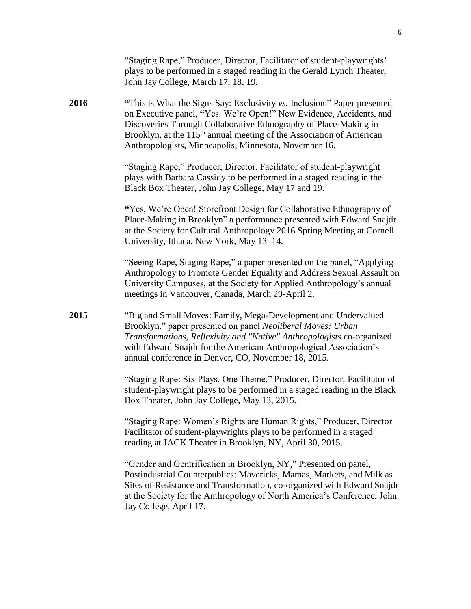|      | "Staging Rape," Producer, Director, Facilitator of student-playwrights'<br>plays to be performed in a staged reading in the Gerald Lynch Theater,<br>John Jay College, March 17, 18, 19.                                                                                                                                                                         |
|------|------------------------------------------------------------------------------------------------------------------------------------------------------------------------------------------------------------------------------------------------------------------------------------------------------------------------------------------------------------------|
| 2016 | "This is What the Signs Say: Exclusivity vs. Inclusion." Paper presented<br>on Executive panel, "Yes. We're Open!" New Evidence, Accidents, and<br>Discoveries Through Collaborative Ethnography of Place-Making in<br>Brooklyn, at the 115 <sup>th</sup> annual meeting of the Association of American<br>Anthropologists, Minneapolis, Minnesota, November 16. |
|      | "Staging Rape," Producer, Director, Facilitator of student-playwright<br>plays with Barbara Cassidy to be performed in a staged reading in the<br>Black Box Theater, John Jay College, May 17 and 19.                                                                                                                                                            |
|      | "Yes, We're Open! Storefront Design for Collaborative Ethnography of<br>Place-Making in Brooklyn" a performance presented with Edward Snajdr<br>at the Society for Cultural Anthropology 2016 Spring Meeting at Cornell<br>University, Ithaca, New York, May 13-14.                                                                                              |
|      | "Seeing Rape, Staging Rape," a paper presented on the panel, "Applying"<br>Anthropology to Promote Gender Equality and Address Sexual Assault on<br>University Campuses, at the Society for Applied Anthropology's annual<br>meetings in Vancouver, Canada, March 29-April 2.                                                                                    |
| 2015 | "Big and Small Moves: Family, Mega-Development and Undervalued<br>Brooklyn," paper presented on panel Neoliberal Moves: Urban<br>Transformations, Reflexivity and "Native" Anthropologists co-organized<br>with Edward Snajdr for the American Anthropological Association's<br>annual conference in Denver, CO, November 18, 2015.                              |
|      | "Staging Rape: Six Plays, One Theme," Producer, Director, Facilitator of<br>student-playwright plays to be performed in a staged reading in the Black<br>Box Theater, John Jay College, May 13, 2015.                                                                                                                                                            |
|      | "Staging Rape: Women's Rights are Human Rights," Producer, Director<br>Facilitator of student-playwrights plays to be performed in a staged<br>reading at JACK Theater in Brooklyn, NY, April 30, 2015.                                                                                                                                                          |
|      | "Gender and Gentrification in Brooklyn, NY," Presented on panel,<br>Postindustrial Counterpublics: Mavericks, Mamas, Markets, and Milk as<br>Sites of Resistance and Transformation, co-organized with Edward Snajdr<br>at the Society for the Anthropology of North America's Conference, John<br>Jay College, April 17.                                        |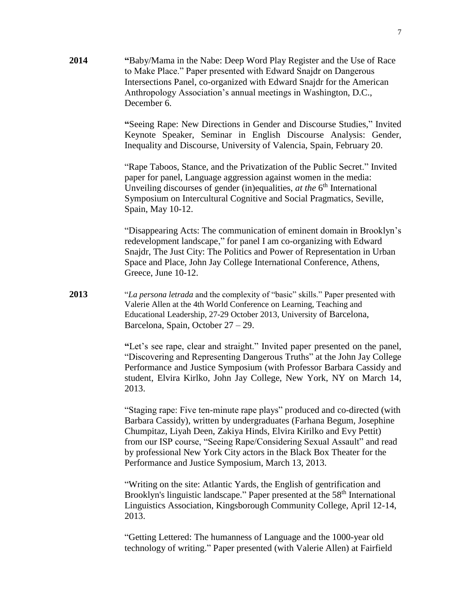**2014 "**Baby/Mama in the Nabe: Deep Word Play Register and the Use of Race to Make Place." Paper presented with Edward Snajdr on Dangerous Intersections Panel, co-organized with Edward Snajdr for the American Anthropology Association's annual meetings in Washington, D.C., December 6.

> **"**Seeing Rape: New Directions in Gender and Discourse Studies," Invited Keynote Speaker, Seminar in English Discourse Analysis: Gender, Inequality and Discourse, University of Valencia, Spain, February 20.

"Rape Taboos, Stance, and the Privatization of the Public Secret." Invited paper for panel, Language aggression against women in the media: Unveiling discourses of gender (in)equalities, *at the* 6<sup>th</sup> International Symposium on Intercultural Cognitive and Social Pragmatics, Seville, Spain, May 10-12.

"Disappearing Acts: The communication of eminent domain in Brooklyn's redevelopment landscape," for panel I am co-organizing with Edward Snajdr, The Just City: The Politics and Power of Representation in Urban Space and Place, John Jay College International Conference, Athens, Greece, June 10-12.

**2013** "*La persona letrada* and the complexity of "basic" skills." Paper presented with Valerie Allen at the 4th World Conference on Learning, Teaching and Educational Leadership, 27-29 October 2013, University of Barcelona, Barcelona, Spain, October 27 – 29.

> **"**Let's see rape, clear and straight." Invited paper presented on the panel, "Discovering and Representing Dangerous Truths" at the John Jay College Performance and Justice Symposium (with Professor Barbara Cassidy and student, Elvira Kirlko, John Jay College, New York, NY on March 14, 2013.

> "Staging rape: Five ten-minute rape plays" produced and co-directed (with Barbara Cassidy), written by undergraduates (Farhana Begum, Josephine Chumpitaz, Liyah Deen, Zakiya Hinds, Elvira Kirilko and Evy Pettit) from our ISP course, "Seeing Rape/Considering Sexual Assault" and read by professional New York City actors in the Black Box Theater for the Performance and Justice Symposium, March 13, 2013.

"Writing on the site: Atlantic Yards, the English of gentrification and Brooklyn's linguistic landscape." Paper presented at the 58<sup>th</sup> International Linguistics Association, Kingsborough Community College, April 12-14, 2013.

"Getting Lettered: The humanness of Language and the 1000-year old technology of writing." Paper presented (with Valerie Allen) at Fairfield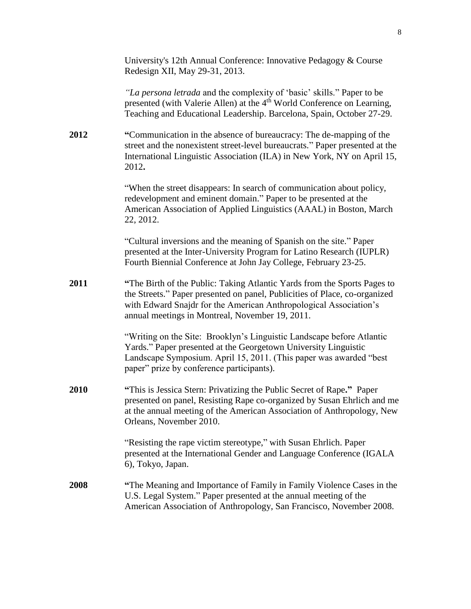|      | University's 12th Annual Conference: Innovative Pedagogy & Course<br>Redesign XII, May 29-31, 2013.                                                                                                                                                                            |
|------|--------------------------------------------------------------------------------------------------------------------------------------------------------------------------------------------------------------------------------------------------------------------------------|
|      | "La persona letrada and the complexity of 'basic' skills." Paper to be<br>presented (with Valerie Allen) at the 4 <sup>th</sup> World Conference on Learning,<br>Teaching and Educational Leadership. Barcelona, Spain, October 27-29.                                         |
| 2012 | "Communication in the absence of bureaucracy: The de-mapping of the<br>street and the nonexistent street-level bureaucrats." Paper presented at the<br>International Linguistic Association (ILA) in New York, NY on April 15,<br>2012.                                        |
|      | "When the street disappears: In search of communication about policy,<br>redevelopment and eminent domain." Paper to be presented at the<br>American Association of Applied Linguistics (AAAL) in Boston, March<br>22, 2012.                                                   |
|      | "Cultural inversions and the meaning of Spanish on the site." Paper<br>presented at the Inter-University Program for Latino Research (IUPLR)<br>Fourth Biennial Conference at John Jay College, February 23-25.                                                                |
| 2011 | "The Birth of the Public: Taking Atlantic Yards from the Sports Pages to<br>the Streets." Paper presented on panel, Publicities of Place, co-organized<br>with Edward Snajdr for the American Anthropological Association's<br>annual meetings in Montreal, November 19, 2011. |
|      | "Writing on the Site: Brooklyn's Linguistic Landscape before Atlantic<br>Yards." Paper presented at the Georgetown University Linguistic<br>Landscape Symposium. April 15, 2011. (This paper was awarded "best<br>paper" prize by conference participants).                    |
| 2010 | "This is Jessica Stern: Privatizing the Public Secret of Rape." Paper<br>presented on panel, Resisting Rape co-organized by Susan Ehrlich and me<br>at the annual meeting of the American Association of Anthropology, New<br>Orleans, November 2010.                          |
|      | "Resisting the rape victim stereotype," with Susan Ehrlich. Paper<br>presented at the International Gender and Language Conference (IGALA<br>6), Tokyo, Japan.                                                                                                                 |
| 2008 | "The Meaning and Importance of Family in Family Violence Cases in the<br>U.S. Legal System." Paper presented at the annual meeting of the<br>American Association of Anthropology, San Francisco, November 2008.                                                               |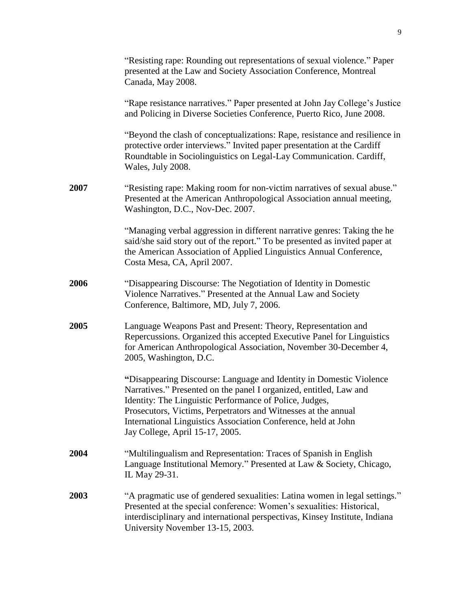|      | "Resisting rape: Rounding out representations of sexual violence." Paper<br>presented at the Law and Society Association Conference, Montreal<br>Canada, May 2008.                                                                                                                                                                                                          |
|------|-----------------------------------------------------------------------------------------------------------------------------------------------------------------------------------------------------------------------------------------------------------------------------------------------------------------------------------------------------------------------------|
|      | "Rape resistance narratives." Paper presented at John Jay College's Justice<br>and Policing in Diverse Societies Conference, Puerto Rico, June 2008.                                                                                                                                                                                                                        |
|      | "Beyond the clash of conceptualizations: Rape, resistance and resilience in<br>protective order interviews." Invited paper presentation at the Cardiff<br>Roundtable in Sociolinguistics on Legal-Lay Communication. Cardiff,<br>Wales, July 2008.                                                                                                                          |
| 2007 | "Resisting rape: Making room for non-victim narratives of sexual abuse."<br>Presented at the American Anthropological Association annual meeting,<br>Washington, D.C., Nov-Dec. 2007.                                                                                                                                                                                       |
|      | "Managing verbal aggression in different narrative genres: Taking the he<br>said/she said story out of the report." To be presented as invited paper at<br>the American Association of Applied Linguistics Annual Conference,<br>Costa Mesa, CA, April 2007.                                                                                                                |
| 2006 | "Disappearing Discourse: The Negotiation of Identity in Domestic<br>Violence Narratives." Presented at the Annual Law and Society<br>Conference, Baltimore, MD, July 7, 2006.                                                                                                                                                                                               |
| 2005 | Language Weapons Past and Present: Theory, Representation and<br>Repercussions. Organized this accepted Executive Panel for Linguistics<br>for American Anthropological Association, November 30-December 4,<br>2005, Washington, D.C.                                                                                                                                      |
|      | "Disappearing Discourse: Language and Identity in Domestic Violence<br>Narratives." Presented on the panel I organized, entitled, Law and<br>Identity: The Linguistic Performance of Police, Judges,<br>Prosecutors, Victims, Perpetrators and Witnesses at the annual<br>International Linguistics Association Conference, held at John<br>Jay College, April 15-17, 2005. |
| 2004 | "Multilingualism and Representation: Traces of Spanish in English<br>Language Institutional Memory." Presented at Law & Society, Chicago,<br>IL May 29-31.                                                                                                                                                                                                                  |
| 2003 | "A pragmatic use of gendered sexualities: Latina women in legal settings."<br>Presented at the special conference: Women's sexualities: Historical,<br>interdisciplinary and international perspectivas, Kinsey Institute, Indiana<br>University November 13-15, 2003.                                                                                                      |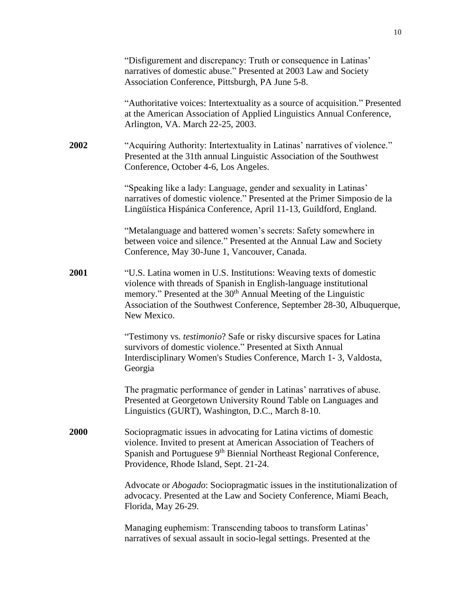|      | "Disfigurement and discrepancy: Truth or consequence in Latinas"<br>narratives of domestic abuse." Presented at 2003 Law and Society<br>Association Conference, Pittsburgh, PA June 5-8.                                                                                                                         |
|------|------------------------------------------------------------------------------------------------------------------------------------------------------------------------------------------------------------------------------------------------------------------------------------------------------------------|
|      | "Authoritative voices: Intertextuality as a source of acquisition." Presented<br>at the American Association of Applied Linguistics Annual Conference,<br>Arlington, VA. March 22-25, 2003.                                                                                                                      |
| 2002 | "Acquiring Authority: Intertextuality in Latinas' narratives of violence."<br>Presented at the 31th annual Linguistic Association of the Southwest<br>Conference, October 4-6, Los Angeles.                                                                                                                      |
|      | "Speaking like a lady: Language, gender and sexuality in Latinas'<br>narratives of domestic violence." Presented at the Primer Simposio de la<br>Lingüística Hispánica Conference, April 11-13, Guildford, England.                                                                                              |
|      | "Metalanguage and battered women's secrets: Safety somewhere in<br>between voice and silence." Presented at the Annual Law and Society<br>Conference, May 30-June 1, Vancouver, Canada.                                                                                                                          |
| 2001 | "U.S. Latina women in U.S. Institutions: Weaving texts of domestic<br>violence with threads of Spanish in English-language institutional<br>memory." Presented at the 30 <sup>th</sup> Annual Meeting of the Linguistic<br>Association of the Southwest Conference, September 28-30, Albuquerque,<br>New Mexico. |
|      | "Testimony vs. <i>testimonio</i> ? Safe or risky discursive spaces for Latina<br>survivors of domestic violence." Presented at Sixth Annual<br>Interdisciplinary Women's Studies Conference, March 1-3, Valdosta,<br>Georgia                                                                                     |
|      | The pragmatic performance of gender in Latinas' narratives of abuse.<br>Presented at Georgetown University Round Table on Languages and<br>Linguistics (GURT), Washington, D.C., March 8-10.                                                                                                                     |
| 2000 | Sociopragmatic issues in advocating for Latina victims of domestic<br>violence. Invited to present at American Association of Teachers of<br>Spanish and Portuguese 9 <sup>th</sup> Biennial Northeast Regional Conference,<br>Providence, Rhode Island, Sept. 21-24.                                            |
|      | Advocate or <i>Abogado</i> : Sociopragmatic issues in the institutionalization of<br>advocacy. Presented at the Law and Society Conference, Miami Beach,<br>Florida, May 26-29.                                                                                                                                  |
|      | Managing euphemism: Transcending taboos to transform Latinas'<br>narratives of sexual assault in socio-legal settings. Presented at the                                                                                                                                                                          |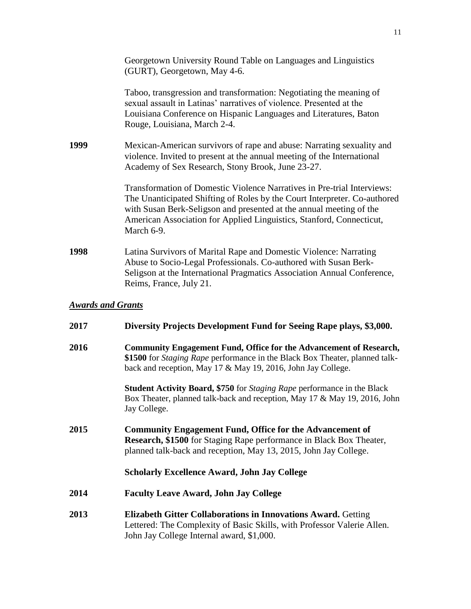|      | Georgetown University Round Table on Languages and Linguistics<br>(GURT), Georgetown, May 4-6.                                                                                                                                                                                                                    |  |  |
|------|-------------------------------------------------------------------------------------------------------------------------------------------------------------------------------------------------------------------------------------------------------------------------------------------------------------------|--|--|
|      | Taboo, transgression and transformation: Negotiating the meaning of<br>sexual assault in Latinas' narratives of violence. Presented at the<br>Louisiana Conference on Hispanic Languages and Literatures, Baton<br>Rouge, Louisiana, March 2-4.                                                                   |  |  |
| 1999 | Mexican-American survivors of rape and abuse: Narrating sexuality and<br>violence. Invited to present at the annual meeting of the International<br>Academy of Sex Research, Stony Brook, June 23-27.                                                                                                             |  |  |
|      | Transformation of Domestic Violence Narratives in Pre-trial Interviews:<br>The Unanticipated Shifting of Roles by the Court Interpreter. Co-authored<br>with Susan Berk-Seligson and presented at the annual meeting of the<br>American Association for Applied Linguistics, Stanford, Connecticut,<br>March 6-9. |  |  |
| 1998 | Latina Survivors of Marital Rape and Domestic Violence: Narrating<br>Abuse to Socio-Legal Professionals. Co-authored with Susan Berk-<br>Seligson at the International Pragmatics Association Annual Conference,<br>Reims, France, July 21.                                                                       |  |  |
|      | <b>Awards and Grants</b>                                                                                                                                                                                                                                                                                          |  |  |
| 2017 | Diversity Projects Development Fund for Seeing Rape plays, \$3,000.                                                                                                                                                                                                                                               |  |  |
| 2016 | Community Engagement Fund, Office for the Advancement of Research,<br>\$1500 for Staging Rape performance in the Black Box Theater, planned talk-<br>back and reception, May 17 & May 19, 2016, John Jay College.                                                                                                 |  |  |

**Student Activity Board, \$750** for *Staging Rape* performance in the Black Box Theater, planned talk-back and reception, May 17 & May 19, 2016, John Jay College.

**2015 Community Engagement Fund, Office for the Advancement of Research, \$1500** for Staging Rape performance in Black Box Theater, planned talk-back and reception, May 13, 2015, John Jay College.

#### **Scholarly Excellence Award, John Jay College**

- **2014 Faculty Leave Award, John Jay College**
- **2013 Elizabeth Gitter Collaborations in Innovations Award.** Getting Lettered: The Complexity of Basic Skills, with Professor Valerie Allen. John Jay College Internal award, \$1,000.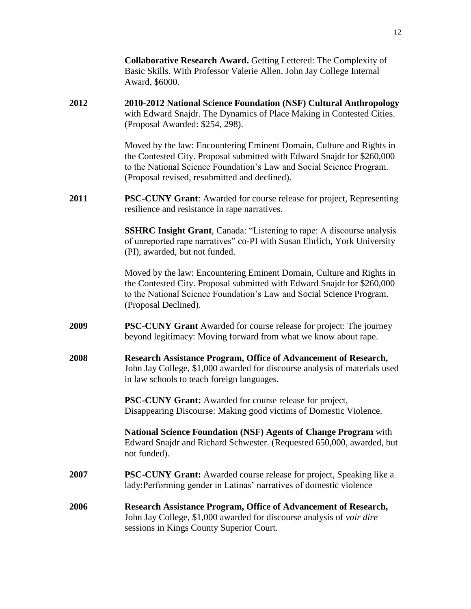|      | <b>Collaborative Research Award.</b> Getting Lettered: The Complexity of<br>Basic Skills. With Professor Valerie Allen. John Jay College Internal<br>Award, \$6000.                                                                                                      |
|------|--------------------------------------------------------------------------------------------------------------------------------------------------------------------------------------------------------------------------------------------------------------------------|
| 2012 | 2010-2012 National Science Foundation (NSF) Cultural Anthropology<br>with Edward Snajdr. The Dynamics of Place Making in Contested Cities.<br>(Proposal Awarded: \$254, 298).                                                                                            |
|      | Moved by the law: Encountering Eminent Domain, Culture and Rights in<br>the Contested City. Proposal submitted with Edward Snajdr for \$260,000<br>to the National Science Foundation's Law and Social Science Program.<br>(Proposal revised, resubmitted and declined). |
| 2011 | <b>PSC-CUNY Grant:</b> Awarded for course release for project, Representing<br>resilience and resistance in rape narratives.                                                                                                                                             |
|      | <b>SSHRC Insight Grant</b> , Canada: "Listening to rape: A discourse analysis<br>of unreported rape narratives" co-PI with Susan Ehrlich, York University<br>(PI), awarded, but not funded.                                                                              |
|      | Moved by the law: Encountering Eminent Domain, Culture and Rights in<br>the Contested City. Proposal submitted with Edward Snajdr for \$260,000<br>to the National Science Foundation's Law and Social Science Program.<br>(Proposal Declined).                          |
| 2009 | <b>PSC-CUNY Grant</b> Awarded for course release for project: The journey<br>beyond legitimacy: Moving forward from what we know about rape.                                                                                                                             |
| 2008 | Research Assistance Program, Office of Advancement of Research,<br>John Jay College, \$1,000 awarded for discourse analysis of materials used<br>in law schools to teach foreign languages.                                                                              |
|      | PSC-CUNY Grant: Awarded for course release for project,<br>Disappearing Discourse: Making good victims of Domestic Violence.                                                                                                                                             |
|      | <b>National Science Foundation (NSF) Agents of Change Program with</b><br>Edward Snajdr and Richard Schwester. (Requested 650,000, awarded, but<br>not funded).                                                                                                          |
| 2007 | PSC-CUNY Grant: Awarded course release for project, Speaking like a<br>lady: Performing gender in Latinas' narratives of domestic violence                                                                                                                               |
| 2006 | Research Assistance Program, Office of Advancement of Research,<br>John Jay College, \$1,000 awarded for discourse analysis of voir dire<br>sessions in Kings County Superior Court.                                                                                     |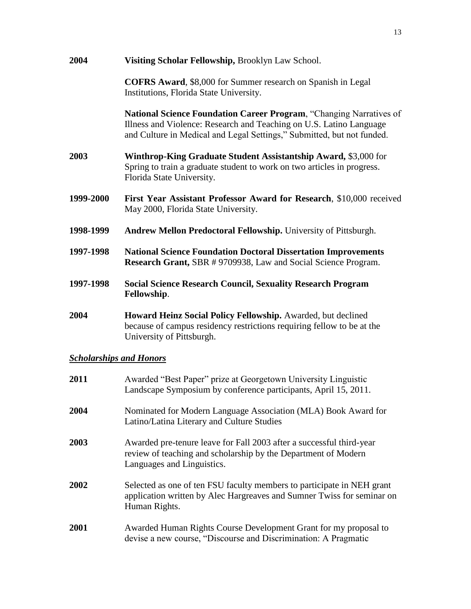| 2004                           | Visiting Scholar Fellowship, Brooklyn Law School.                                                                                                                                                                           |
|--------------------------------|-----------------------------------------------------------------------------------------------------------------------------------------------------------------------------------------------------------------------------|
|                                | <b>COFRS Award</b> , \$8,000 for Summer research on Spanish in Legal<br>Institutions, Florida State University.                                                                                                             |
|                                | <b>National Science Foundation Career Program, "Changing Narratives of</b><br>Illness and Violence: Research and Teaching on U.S. Latino Language<br>and Culture in Medical and Legal Settings," Submitted, but not funded. |
| 2003                           | Winthrop-King Graduate Student Assistantship Award, \$3,000 for<br>Spring to train a graduate student to work on two articles in progress.<br>Florida State University.                                                     |
| 1999-2000                      | First Year Assistant Professor Award for Research, \$10,000 received<br>May 2000, Florida State University.                                                                                                                 |
| 1998-1999                      | Andrew Mellon Predoctoral Fellowship. University of Pittsburgh.                                                                                                                                                             |
| 1997-1998                      | <b>National Science Foundation Doctoral Dissertation Improvements</b><br><b>Research Grant, SBR #9709938, Law and Social Science Program.</b>                                                                               |
| 1997-1998                      | <b>Social Science Research Council, Sexuality Research Program</b><br>Fellowship.                                                                                                                                           |
| 2004                           | Howard Heinz Social Policy Fellowship. Awarded, but declined<br>because of campus residency restrictions requiring fellow to be at the<br>University of Pittsburgh.                                                         |
| <b>Scholarships and Honors</b> |                                                                                                                                                                                                                             |

| 2011 | Awarded "Best Paper" prize at Georgetown University Linguistic<br>Landscape Symposium by conference participants, April 15, 2011.                                    |
|------|----------------------------------------------------------------------------------------------------------------------------------------------------------------------|
| 2004 | Nominated for Modern Language Association (MLA) Book Award for<br>Latino/Latina Literary and Culture Studies                                                         |
| 2003 | Awarded pre-tenure leave for Fall 2003 after a successful third-year<br>review of teaching and scholarship by the Department of Modern<br>Languages and Linguistics. |
| 2002 | Selected as one of ten FSU faculty members to participate in NEH grant<br>application written by Alec Hargreaves and Sumner Twiss for seminar on<br>Human Rights.    |
| 2001 | Awarded Human Rights Course Development Grant for my proposal to<br>devise a new course, "Discourse and Discrimination: A Pragmatic                                  |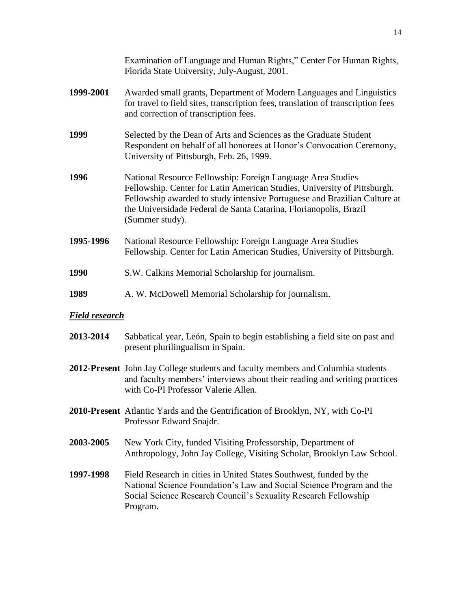|                       | Examination of Language and Human Rights," Center For Human Rights,<br>Florida State University, July-August, 2001.                                                                                                                                                                                          |
|-----------------------|--------------------------------------------------------------------------------------------------------------------------------------------------------------------------------------------------------------------------------------------------------------------------------------------------------------|
| 1999-2001             | Awarded small grants, Department of Modern Languages and Linguistics<br>for travel to field sites, transcription fees, translation of transcription fees<br>and correction of transcription fees.                                                                                                            |
| 1999                  | Selected by the Dean of Arts and Sciences as the Graduate Student<br>Respondent on behalf of all honorees at Honor's Convocation Ceremony,<br>University of Pittsburgh, Feb. 26, 1999.                                                                                                                       |
| 1996                  | National Resource Fellowship: Foreign Language Area Studies<br>Fellowship. Center for Latin American Studies, University of Pittsburgh.<br>Fellowship awarded to study intensive Portuguese and Brazilian Culture at<br>the Universidade Federal de Santa Catarina, Florianopolis, Brazil<br>(Summer study). |
| 1995-1996             | National Resource Fellowship: Foreign Language Area Studies<br>Fellowship. Center for Latin American Studies, University of Pittsburgh.                                                                                                                                                                      |
| 1990                  | S.W. Calkins Memorial Scholarship for journalism.                                                                                                                                                                                                                                                            |
| 1989                  | A. W. McDowell Memorial Scholarship for journalism.                                                                                                                                                                                                                                                          |
| <u>Field research</u> |                                                                                                                                                                                                                                                                                                              |
| 2013-2014             | Sabbatical year, León, Spain to begin establishing a field site on past and<br>present plurilingualism in Spain.                                                                                                                                                                                             |
|                       |                                                                                                                                                                                                                                                                                                              |

- **2012-Present** John Jay College students and faculty members and Columbia students and faculty members' interviews about their reading and writing practices with Co-PI Professor Valerie Allen.
- **2010-Present** Atlantic Yards and the Gentrification of Brooklyn, NY, with Co-PI Professor Edward Snajdr.
- **2003-2005** New York City, funded Visiting Professorship, Department of Anthropology, John Jay College, Visiting Scholar, Brooklyn Law School.
- **1997-1998** Field Research in cities in United States Southwest, funded by the National Science Foundation's Law and Social Science Program and the Social Science Research Council's Sexuality Research Fellowship Program.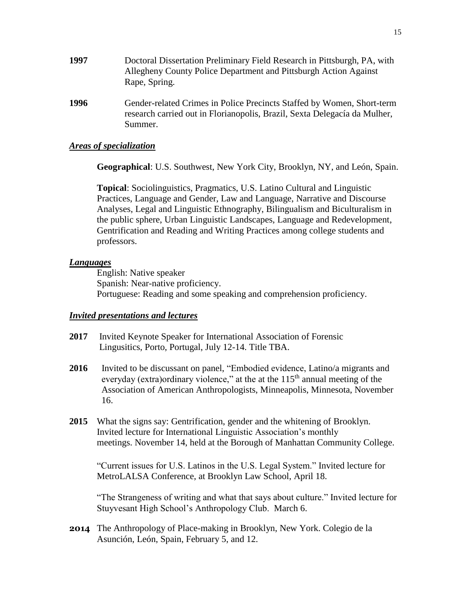- **1997** Doctoral Dissertation Preliminary Field Research in Pittsburgh, PA, with Allegheny County Police Department and Pittsburgh Action Against Rape, Spring.
- **1996** Gender-related Crimes in Police Precincts Staffed by Women, Short-term research carried out in Florianopolis, Brazil, Sexta Delegacía da Mulher, Summer.

## *Areas of specialization*

**Geographical**: U.S. Southwest, New York City, Brooklyn, NY, and León, Spain.

**Topical**: Sociolinguistics, Pragmatics, U.S. Latino Cultural and Linguistic Practices, Language and Gender, Law and Language, Narrative and Discourse Analyses, Legal and Linguistic Ethnography, Bilingualism and Biculturalism in the public sphere, Urban Linguistic Landscapes, Language and Redevelopment, Gentrification and Reading and Writing Practices among college students and professors.

#### *Languages*

English: Native speaker Spanish: Near-native proficiency. Portuguese: Reading and some speaking and comprehension proficiency.

#### *Invited presentations and lectures*

- **2017** Invited Keynote Speaker for International Association of Forensic Lingusitics, Porto, Portugal, July 12-14. Title TBA.
- **2016** Invited to be discussant on panel, "Embodied evidence, Latino/a migrants and everyday (extra)ordinary violence," at the at the  $115<sup>th</sup>$  annual meeting of the Association of American Anthropologists, Minneapolis, Minnesota, November 16.
- **2015** What the signs say: Gentrification, gender and the whitening of Brooklyn. Invited lecture for International Linguistic Association's monthly meetings. November 14, held at the Borough of Manhattan Community College.

"Current issues for U.S. Latinos in the U.S. Legal System." Invited lecture for MetroLALSA Conference, at Brooklyn Law School, April 18.

"The Strangeness of writing and what that says about culture." Invited lecture for Stuyvesant High School's Anthropology Club. March 6.

**2014** The Anthropology of Place-making in Brooklyn, New York. Colegio de la Asunción, León, Spain, February 5, and 12.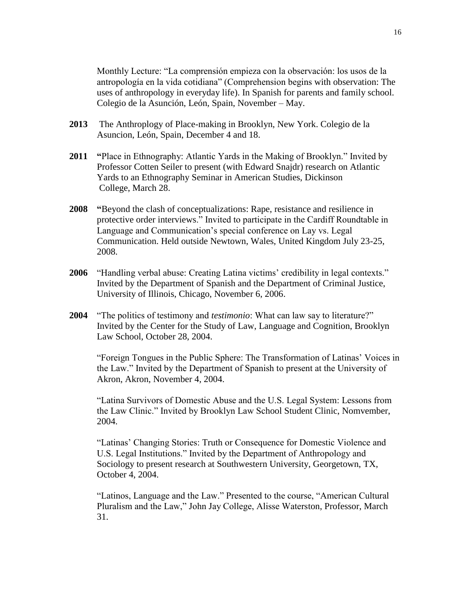Monthly Lecture: "La comprensión empieza con la observación: los usos de la antropología en la vida cotidiana" (Comprehension begins with observation: The uses of anthropology in everyday life). In Spanish for parents and family school. Colegio de la Asunción, León, Spain, November – May.

- **2013** The Anthroplogy of Place-making in Brooklyn, New York. Colegio de la Asuncion, León, Spain, December 4 and 18.
- **2011 "**Place in Ethnography: Atlantic Yards in the Making of Brooklyn." Invited by Professor Cotten Seiler to present (with Edward Snajdr) research on Atlantic Yards to an Ethnography Seminar in American Studies, Dickinson College, March 28.
- **2008 "**Beyond the clash of conceptualizations: Rape, resistance and resilience in protective order interviews." Invited to participate in the Cardiff Roundtable in Language and Communication's special conference on Lay vs. Legal Communication. Held outside Newtown, Wales, United Kingdom July 23-25, 2008.
- **2006** "Handling verbal abuse: Creating Latina victims' credibility in legal contexts." Invited by the Department of Spanish and the Department of Criminal Justice, University of Illinois, Chicago, November 6, 2006.
- **2004** "The politics of testimony and *testimonio*: What can law say to literature?" Invited by the Center for the Study of Law, Language and Cognition, Brooklyn Law School, October 28, 2004.

"Foreign Tongues in the Public Sphere: The Transformation of Latinas' Voices in the Law." Invited by the Department of Spanish to present at the University of Akron, Akron, November 4, 2004.

"Latina Survivors of Domestic Abuse and the U.S. Legal System: Lessons from the Law Clinic." Invited by Brooklyn Law School Student Clinic, Nomvember, 2004.

"Latinas' Changing Stories: Truth or Consequence for Domestic Violence and U.S. Legal Institutions." Invited by the Department of Anthropology and Sociology to present research at Southwestern University, Georgetown, TX, October 4, 2004.

"Latinos, Language and the Law." Presented to the course, "American Cultural Pluralism and the Law," John Jay College, Alisse Waterston, Professor, March 31.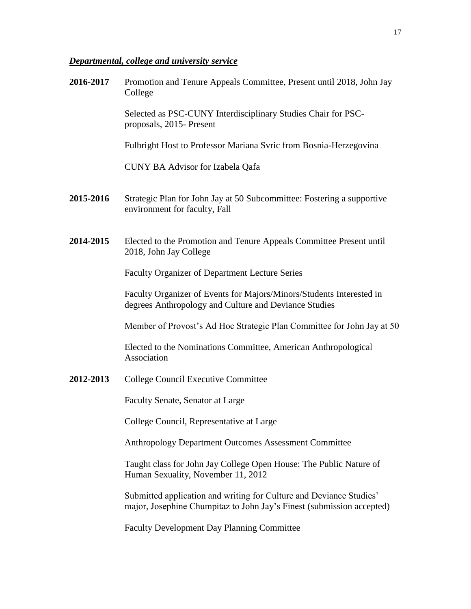# *Departmental, college and university service*

| 2016-2017 | Promotion and Tenure Appeals Committee, Present until 2018, John Jay<br>College                                                              |
|-----------|----------------------------------------------------------------------------------------------------------------------------------------------|
|           | Selected as PSC-CUNY Interdisciplinary Studies Chair for PSC-<br>proposals, 2015- Present                                                    |
|           | Fulbright Host to Professor Mariana Svric from Bosnia-Herzegovina                                                                            |
|           | <b>CUNY BA Advisor for Izabela Qafa</b>                                                                                                      |
| 2015-2016 | Strategic Plan for John Jay at 50 Subcommittee: Fostering a supportive<br>environment for faculty, Fall                                      |
| 2014-2015 | Elected to the Promotion and Tenure Appeals Committee Present until<br>2018, John Jay College                                                |
|           | <b>Faculty Organizer of Department Lecture Series</b>                                                                                        |
|           | Faculty Organizer of Events for Majors/Minors/Students Interested in<br>degrees Anthropology and Culture and Deviance Studies                |
|           | Member of Provost's Ad Hoc Strategic Plan Committee for John Jay at 50                                                                       |
|           | Elected to the Nominations Committee, American Anthropological<br>Association                                                                |
| 2012-2013 | <b>College Council Executive Committee</b>                                                                                                   |
|           | Faculty Senate, Senator at Large                                                                                                             |
|           | College Council, Representative at Large                                                                                                     |
|           | <b>Anthropology Department Outcomes Assessment Committee</b>                                                                                 |
|           | Taught class for John Jay College Open House: The Public Nature of<br>Human Sexuality, November 11, 2012                                     |
|           | Submitted application and writing for Culture and Deviance Studies'<br>major, Josephine Chumpitaz to John Jay's Finest (submission accepted) |

Faculty Development Day Planning Committee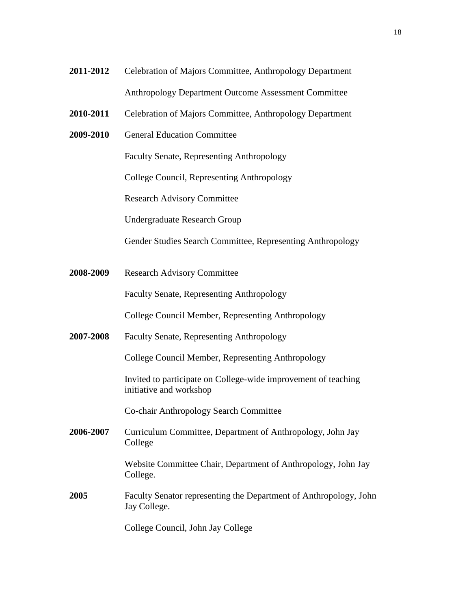- **2011-2012** Celebration of Majors Committee, Anthropology Department Anthropology Department Outcome Assessment Committee
- **2010-2011** Celebration of Majors Committee, Anthropology Department
- **2009-2010** General Education Committee

Faculty Senate, Representing Anthropology

College Council, Representing Anthropology

Research Advisory Committee

Undergraduate Research Group

Gender Studies Search Committee, Representing Anthropology

**2008-2009** Research Advisory Committee

Faculty Senate, Representing Anthropology

College Council Member, Representing Anthropology

**2007-2008** Faculty Senate, Representing Anthropology

College Council Member, Representing Anthropology

Invited to participate on College-wide improvement of teaching initiative and workshop

Co-chair Anthropology Search Committee

**2006-2007** Curriculum Committee, Department of Anthropology, John Jay College

> Website Committee Chair, Department of Anthropology, John Jay College.

**2005** Faculty Senator representing the Department of Anthropology, John Jay College.

College Council, John Jay College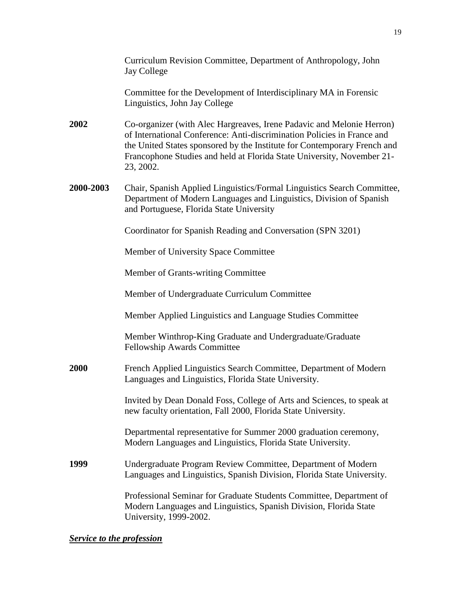|             | Curriculum Revision Committee, Department of Anthropology, John<br><b>Jay College</b>                                                                                                                                                                                                                               |
|-------------|---------------------------------------------------------------------------------------------------------------------------------------------------------------------------------------------------------------------------------------------------------------------------------------------------------------------|
|             | Committee for the Development of Interdisciplinary MA in Forensic<br>Linguistics, John Jay College                                                                                                                                                                                                                  |
| <b>2002</b> | Co-organizer (with Alec Hargreaves, Irene Padavic and Melonie Herron)<br>of International Conference: Anti-discrimination Policies in France and<br>the United States sponsored by the Institute for Contemporary French and<br>Francophone Studies and held at Florida State University, November 21-<br>23, 2002. |
| 2000-2003   | Chair, Spanish Applied Linguistics/Formal Linguistics Search Committee,<br>Department of Modern Languages and Linguistics, Division of Spanish<br>and Portuguese, Florida State University                                                                                                                          |
|             | Coordinator for Spanish Reading and Conversation (SPN 3201)                                                                                                                                                                                                                                                         |
|             | Member of University Space Committee                                                                                                                                                                                                                                                                                |
|             | Member of Grants-writing Committee                                                                                                                                                                                                                                                                                  |
|             | Member of Undergraduate Curriculum Committee                                                                                                                                                                                                                                                                        |
|             | Member Applied Linguistics and Language Studies Committee                                                                                                                                                                                                                                                           |
|             | Member Winthrop-King Graduate and Undergraduate/Graduate<br>Fellowship Awards Committee                                                                                                                                                                                                                             |
| <b>2000</b> | French Applied Linguistics Search Committee, Department of Modern<br>Languages and Linguistics, Florida State University.                                                                                                                                                                                           |
|             | Invited by Dean Donald Foss, College of Arts and Sciences, to speak at<br>new faculty orientation, Fall 2000, Florida State University.                                                                                                                                                                             |
|             | Departmental representative for Summer 2000 graduation ceremony,<br>Modern Languages and Linguistics, Florida State University.                                                                                                                                                                                     |
| 1999        | Undergraduate Program Review Committee, Department of Modern<br>Languages and Linguistics, Spanish Division, Florida State University.                                                                                                                                                                              |
|             | Professional Seminar for Graduate Students Committee, Department of<br>Modern Languages and Linguistics, Spanish Division, Florida State<br>University, 1999-2002.                                                                                                                                                  |

# *Service to the profession*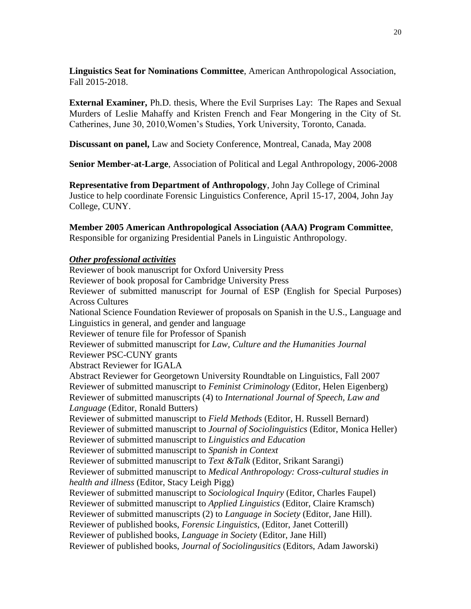**Linguistics Seat for Nominations Committee**, American Anthropological Association, Fall 2015-2018.

**External Examiner,** Ph.D. thesis, Where the Evil Surprises Lay: The Rapes and Sexual Murders of Leslie Mahaffy and Kristen French and Fear Mongering in the City of St. Catherines, June 30, 2010,Women's Studies, York University, Toronto, Canada.

**Discussant on panel,** Law and Society Conference, Montreal, Canada, May 2008

**Senior Member-at-Large**, Association of Political and Legal Anthropology, 2006-2008

**Representative from Department of Anthropology**, John Jay College of Criminal Justice to help coordinate Forensic Linguistics Conference, April 15-17, 2004, John Jay College, CUNY.

**Member 2005 American Anthropological Association (AAA) Program Committee**, Responsible for organizing Presidential Panels in Linguistic Anthropology.

## *Other professional activities*

Reviewer of book manuscript for Oxford University Press Reviewer of book proposal for Cambridge University Press Reviewer of submitted manuscript for Journal of ESP (English for Special Purposes) Across Cultures National Science Foundation Reviewer of proposals on Spanish in the U.S., Language and Linguistics in general, and gender and language Reviewer of tenure file for Professor of Spanish Reviewer of submitted manuscript for *Law, Culture and the Humanities Journal* Reviewer PSC-CUNY grants Abstract Reviewer for IGALA Abstract Reviewer for Georgetown University Roundtable on Linguistics, Fall 2007 Reviewer of submitted manuscript to *Feminist Criminology* (Editor, Helen Eigenberg) Reviewer of submitted manuscripts (4) to *International Journal of Speech, Law and Language* (Editor, Ronald Butters) Reviewer of submitted manuscript to *Field Methods* (Editor, H. Russell Bernard) Reviewer of submitted manuscript to *Journal of Sociolinguistics* (Editor, Monica Heller) Reviewer of submitted manuscript to *Linguistics and Education* Reviewer of submitted manuscript to *Spanish in Context* Reviewer of submitted manuscript to *Text &Talk* (Editor, Srikant Sarangi) Reviewer of submitted manuscript to *Medical Anthropology: Cross-cultural studies in health and illness* (Editor, Stacy Leigh Pigg) Reviewer of submitted manuscript to *Sociological Inquiry* (Editor, Charles Faupel) Reviewer of submitted manuscript to *Applied Linguistics* (Editor, Claire Kramsch) Reviewer of submitted manuscripts (2) to *Language in Society* (Editor, Jane Hill). Reviewer of published books, *Forensic Linguistics*, (Editor, Janet Cotterill) Reviewer of published books, *Language in Society* (Editor, Jane Hill) Reviewer of published books, *Journal of Sociolingusitics* (Editors, Adam Jaworski)